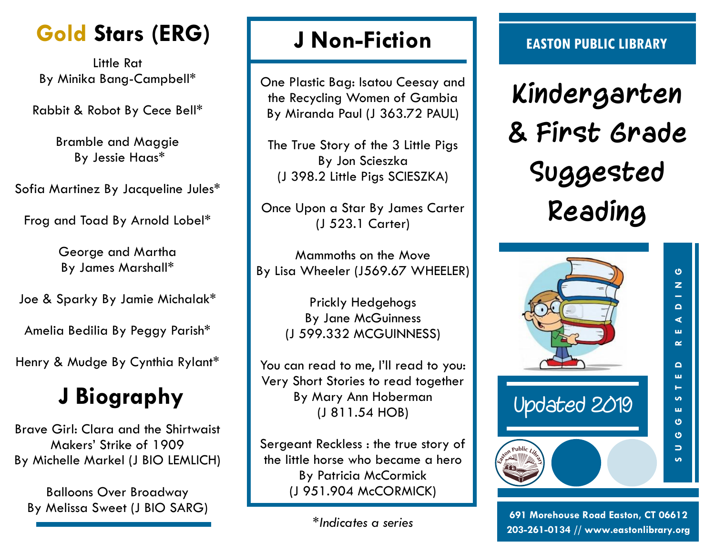# **Gold Stars (ERG)**

Little Rat By Minika Bang-Campbell\*

Rabbit & Robot By Cece Bell\*

Bramble and Maggie By Jessie Haas\*

Sofia Martinez By Jacqueline Jules\*

Frog and Toad By Arnold Lobel\*

George and Martha By James Marshall\*

Joe & Sparky By Jamie Michalak\*

Amelia Bedilia By Peggy Parish\*

Henry & Mudge By Cynthia Rylant\*

## **J Biography**

Brave Girl: Clara and the Shirtwaist Makers' Strike of 1909 By Michelle Markel (J BIO LEMLICH)

Balloons Over Broadway By Melissa Sweet (J BIO SARG)

### **J Non-Fiction**

One Plastic Bag: Isatou Ceesay and the Recycling Women of Gambia By Miranda Paul (J 363.72 PAUL)

The True Story of the 3 Little Pigs By Jon Scieszka (J 398.2 Little Pigs SCIESZKA)

Once Upon a Star By James Carter (J 523.1 Carter)

Mammoths on the Move By Lisa Wheeler (J569.67 WHEELER)

> Prickly Hedgehogs By Jane McGuinness (J 599.332 MCGUINNESS)

You can read to me, I'll read to you: Very Short Stories to read together By Mary Ann Hoberman (J 811.54 HOB)

Sergeant Reckless : the true story of the little horse who became a hero By Patricia McCormick (J 951.904 McCORMICK)

#### **EASTON PUBLIC LIBRARY**

**Kindergarten & First Grade Suggested Reading**



**691 Morehouse Road Easton, CT 06612 203-261-0134 // www.eastonlibrary.org**